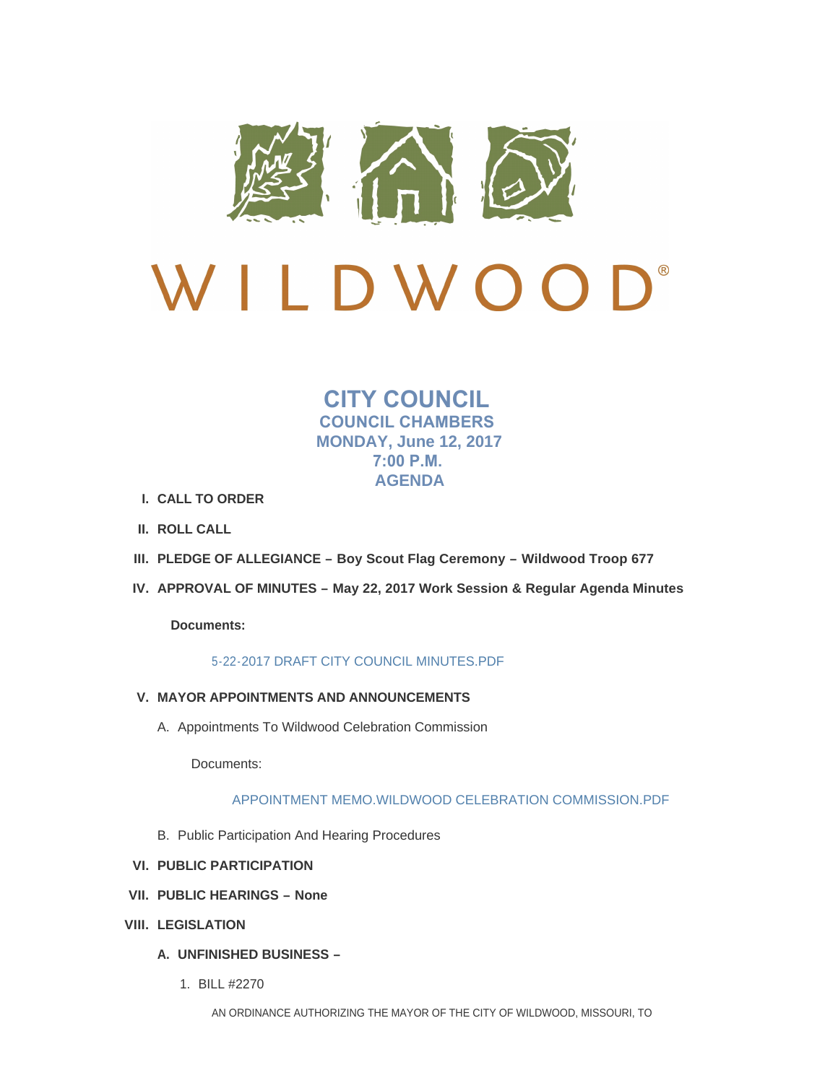

# D® VILDWOO

## **CITY COUNCIL COUNCIL CHAMBERS MONDAY, June 12, 2017 7:00 P.M. AGENDA**

- **CALL TO ORDER I.**
- **ROLL CALL II.**
- **PLEDGE OF ALLEGIANCE – Boy Scout Flag Ceremony – Wildwood Troop 677 III.**
- **APPROVAL OF MINUTES – May 22, 2017 Work Session & Regular Agenda Minutes IV.**

**Documents:**

## [5-22-2017 DRAFT CITY COUNCIL MINUTES.PDF](http://www.cityofwildwood.com/AgendaCenter/ViewFile/Item/11074?fileID=15797)

- **MAYOR APPOINTMENTS AND ANNOUNCEMENTS V.**
	- A. Appointments To Wildwood Celebration Commission

Documents:

## [APPOINTMENT MEMO.WILDWOOD CELEBRATION COMMISSION.PDF](http://www.cityofwildwood.com/AgendaCenter/ViewFile/Item/11076?fileID=15796)

- B. Public Participation And Hearing Procedures
- **PUBLIC PARTICIPATION VI.**
- **PUBLIC HEARINGS – None VII.**
- **LEGISLATION VIII.**
	- **UNFINISHED BUSINESS – A.**
		- BILL #2270 1.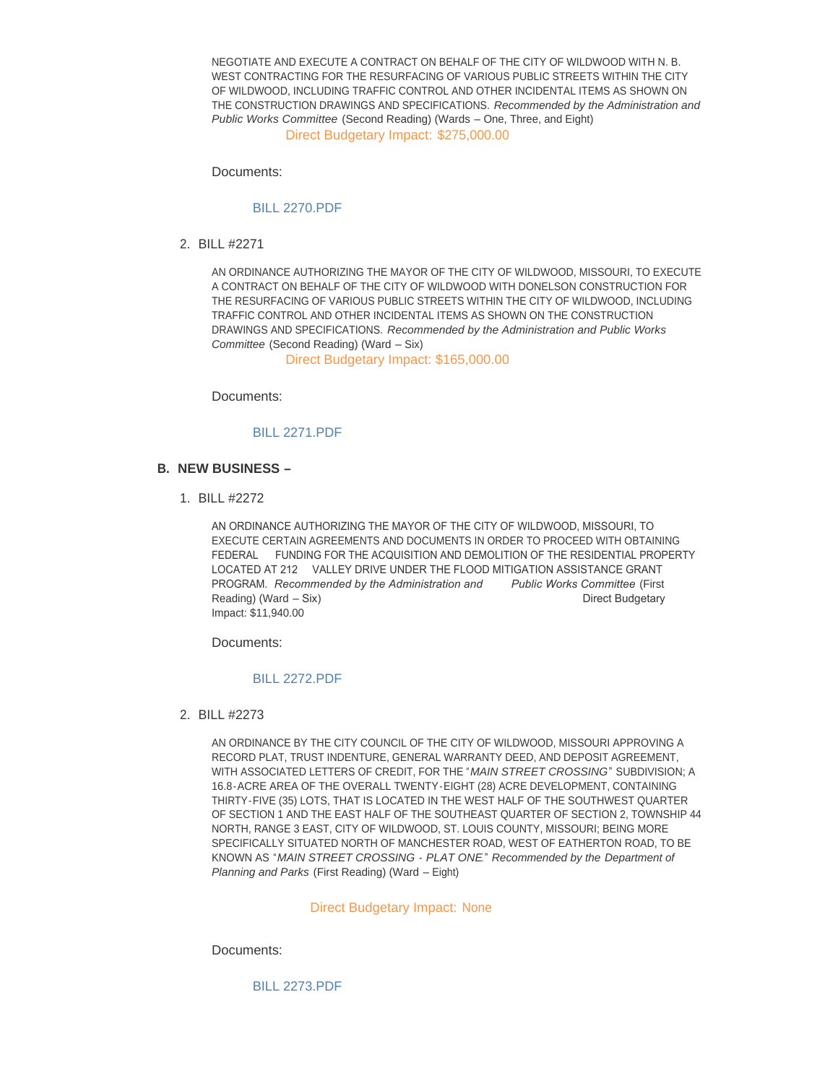NEGOTIATE AND EXECUTE A CONTRACT ON BEHALF OF THE CITY OF WILDWOOD WITH N. B. WEST CONTRACTING FOR THE RESURFACING OF VARIOUS PUBLIC STREETS WITHIN THE CITY OF WILDWOOD, INCLUDING TRAFFIC CONTROL AND OTHER INCIDENTAL ITEMS AS SHOWN ON THE CONSTRUCTION DRAWINGS AND SPECIFICATIONS. *Recommended by the Administration and Public Works Committee* (Second Reading) (Wards – One, Three, and Eight)

Direct Budgetary Impact: \$275,000.00

Documents:

#### [BILL 2270.PDF](http://www.cityofwildwood.com/AgendaCenter/ViewFile/Item/11082?fileID=15614)

BILL #2271 2.

AN ORDINANCE AUTHORIZING THE MAYOR OF THE CITY OF WILDWOOD, MISSOURI, TO EXECUTE A CONTRACT ON BEHALF OF THE CITY OF WILDWOOD WITH DONELSON CONSTRUCTION FOR THE RESURFACING OF VARIOUS PUBLIC STREETS WITHIN THE CITY OF WILDWOOD, INCLUDING TRAFFIC CONTROL AND OTHER INCIDENTAL ITEMS AS SHOWN ON THE CONSTRUCTION DRAWINGS AND SPECIFICATIONS. *Recommended by the Administration and Public Works Committee* (Second Reading) (Ward – Six)

Direct Budgetary Impact: \$165,000.00

Documents:

[BILL 2271.PDF](http://www.cityofwildwood.com/AgendaCenter/ViewFile/Item/11083?fileID=15615)

- **NEW BUSINESS – B.**
	- BILL #2272 1.

AN ORDINANCE AUTHORIZING THE MAYOR OF THE CITY OF WILDWOOD, MISSOURI, TO EXECUTE CERTAIN AGREEMENTS AND DOCUMENTS IN ORDER TO PROCEED WITH OBTAINING FEDERAL FUNDING FOR THE ACQUISITION AND DEMOLITION OF THE RESIDENTIAL PROPERTY LOCATED AT 212 VALLEY DRIVE UNDER THE FLOOD MITIGATION ASSISTANCE GRANT PROGRAM. *Recommended by the Administration and Public Works Committee* (First Reading) (Ward – Six) **Direct Budgetary** Direct Budgetary Impact: \$11,940.00

Documents:

#### [BILL 2272.PDF](http://www.cityofwildwood.com/AgendaCenter/ViewFile/Item/11085?fileID=15616)

BILL #2273 2.

AN ORDINANCE BY THE CITY COUNCIL OF THE CITY OF WILDWOOD, MISSOURI APPROVING A RECORD PLAT, TRUST INDENTURE, GENERAL WARRANTY DEED, AND DEPOSIT AGREEMENT, WITH ASSOCIATED LETTERS OF CREDIT, FOR THE "*MAIN STREET CROSSING*" SUBDIVISION; A 16.8-ACRE AREA OF THE OVERALL TWENTY-EIGHT (28) ACRE DEVELOPMENT, CONTAINING THIRTY-FIVE (35) LOTS, THAT IS LOCATED IN THE WEST HALF OF THE SOUTHWEST QUARTER OF SECTION 1 AND THE EAST HALF OF THE SOUTHEAST QUARTER OF SECTION 2, TOWNSHIP 44 NORTH, RANGE 3 EAST, CITY OF WILDWOOD, ST. LOUIS COUNTY, MISSOURI; BEING MORE SPECIFICALLY SITUATED NORTH OF MANCHESTER ROAD, WEST OF EATHERTON ROAD, TO BE KNOWN AS "*MAIN STREET CROSSING - PLAT ONE*." *Recommended by the Department of Planning and Parks* (First Reading) (Ward – Eight)

#### Direct Budgetary Impact: None

Documents:

[BILL 2273.PDF](http://www.cityofwildwood.com/AgendaCenter/ViewFile/Item/11086?fileID=15617)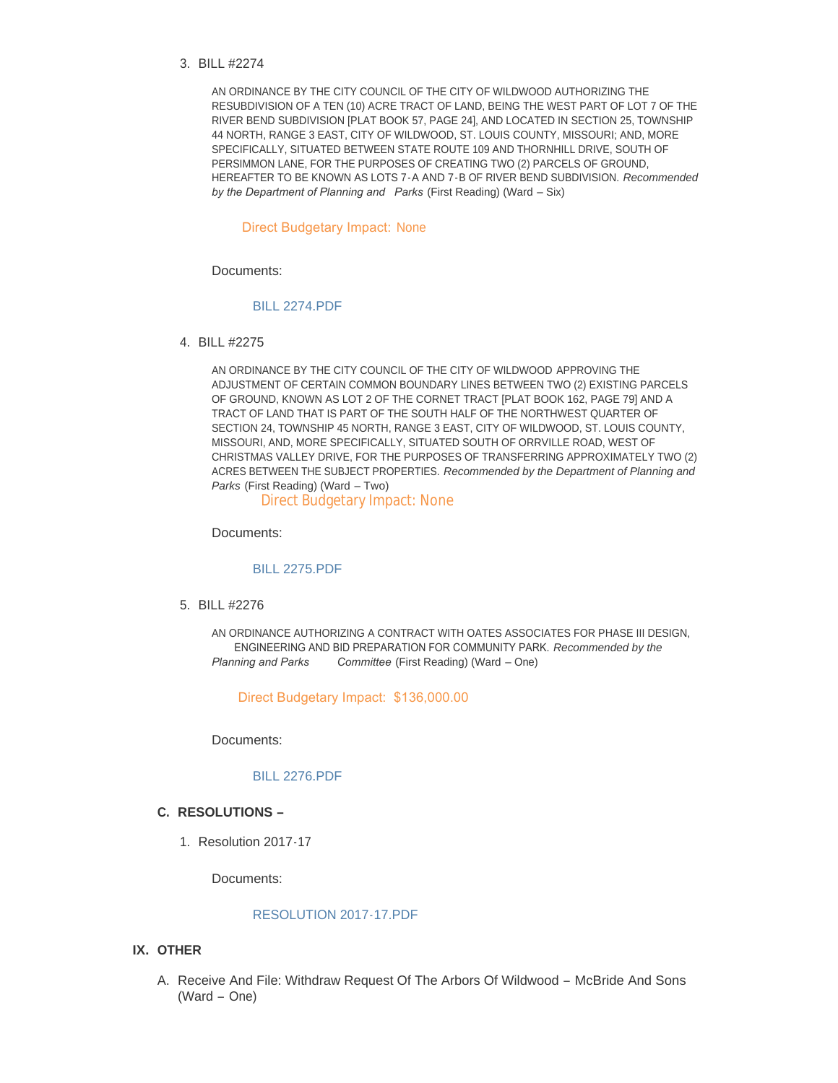BILL #2274 3.

AN ORDINANCE BY THE CITY COUNCIL OF THE CITY OF WILDWOOD AUTHORIZING THE RESUBDIVISION OF A TEN (10) ACRE TRACT OF LAND, BEING THE WEST PART OF LOT 7 OF THE RIVER BEND SUBDIVISION [PLAT BOOK 57, PAGE 24], AND LOCATED IN SECTION 25, TOWNSHIP 44 NORTH, RANGE 3 EAST, CITY OF WILDWOOD, ST. LOUIS COUNTY, MISSOURI; AND, MORE SPECIFICALLY, SITUATED BETWEEN STATE ROUTE 109 AND THORNHILL DRIVE, SOUTH OF PERSIMMON LANE, FOR THE PURPOSES OF CREATING TWO (2) PARCELS OF GROUND, HEREAFTER TO BE KNOWN AS LOTS 7-A AND 7-B OF RIVER BEND SUBDIVISION. *Recommended by the Department of Planning and Parks* (First Reading) (Ward – Six)

#### Direct Budgetary Impact: None

Documents:

#### [BILL 2274.PDF](http://www.cityofwildwood.com/AgendaCenter/ViewFile/Item/11087?fileID=15618)

BILL #2275 4.

AN ORDINANCE BY THE CITY COUNCIL OF THE CITY OF WILDWOOD APPROVING THE ADJUSTMENT OF CERTAIN COMMON BOUNDARY LINES BETWEEN TWO (2) EXISTING PARCELS OF GROUND, KNOWN AS LOT 2 OF THE CORNET TRACT [PLAT BOOK 162, PAGE 79] AND A TRACT OF LAND THAT IS PART OF THE SOUTH HALF OF THE NORTHWEST QUARTER OF SECTION 24, TOWNSHIP 45 NORTH, RANGE 3 EAST, CITY OF WILDWOOD, ST. LOUIS COUNTY, MISSOURI, AND, MORE SPECIFICALLY, SITUATED SOUTH OF ORRVILLE ROAD, WEST OF CHRISTMAS VALLEY DRIVE, FOR THE PURPOSES OF TRANSFERRING APPROXIMATELY TWO (2) ACRES BETWEEN THE SUBJECT PROPERTIES. *Recommended by the Department of Planning and Parks* (First Reading) (Ward – Two)

Direct Budgetary Impact: None

Documents:

#### [BILL 2275.PDF](http://www.cityofwildwood.com/AgendaCenter/ViewFile/Item/11088?fileID=15619)

BILL #2276 5.

AN ORDINANCE AUTHORIZING A CONTRACT WITH OATES ASSOCIATES FOR PHASE III DESIGN, ENGINEERING AND BID PREPARATION FOR COMMUNITY PARK. *Recommended by the Planning and Parks Committee* (First Reading) (Ward – One)

Direct Budgetary Impact: \$136,000.00

Documents:

#### [BILL 2276.PDF](http://www.cityofwildwood.com/AgendaCenter/ViewFile/Item/11089?fileID=15633)

#### **RESOLUTIONS – C.**

1. Resolution 2017-17

Documents:

### [RESOLUTION 2017-17.PDF](http://www.cityofwildwood.com/AgendaCenter/ViewFile/Item/11152?fileID=15812)

#### **IX. OTHER**

A. Receive And File: Withdraw Request Of The Arbors Of Wildwood - McBride And Sons (Ward – One)